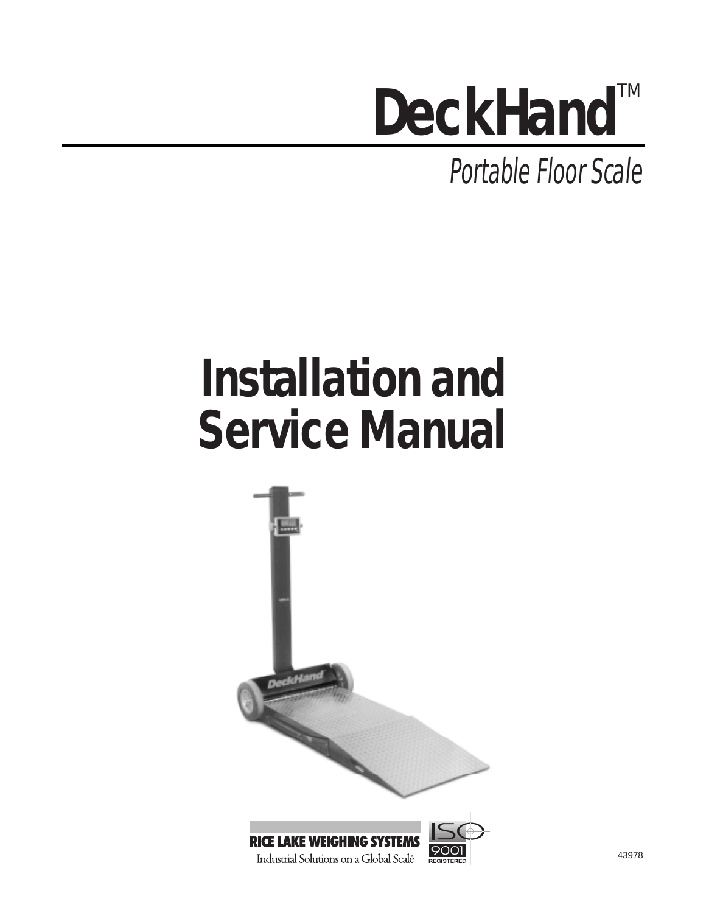# **DeckHand™**

Portable Floor Scale

# **Installation and Service Manual**



Industrial Solutions on a Global Scale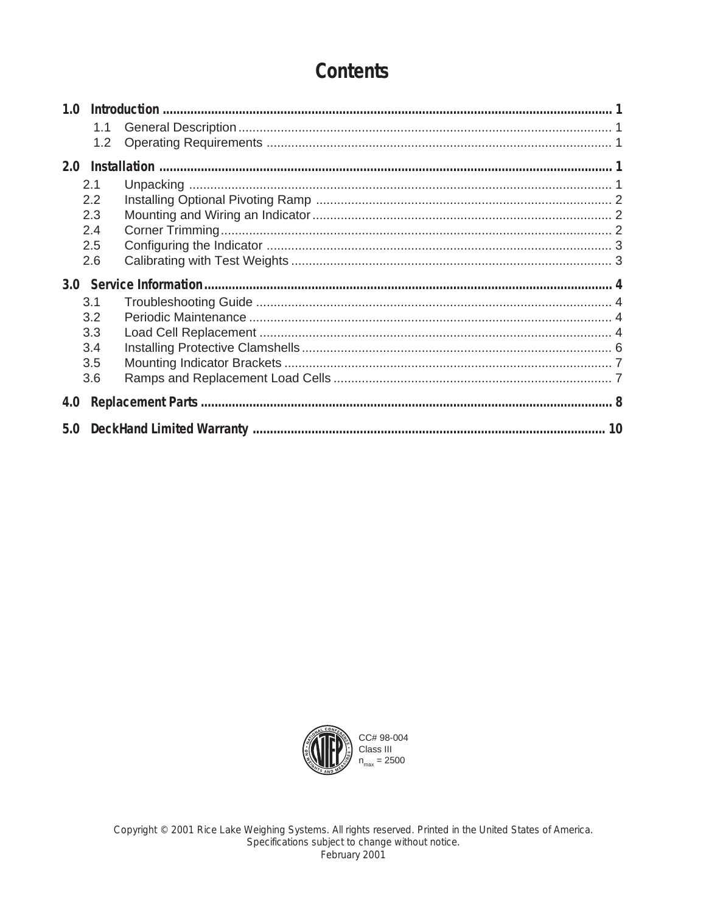# **Contents**

| 1.0 |     |  |  |  |  |  |
|-----|-----|--|--|--|--|--|
|     | 1.1 |  |  |  |  |  |
|     | 1.2 |  |  |  |  |  |
| 2.0 |     |  |  |  |  |  |
|     | 2.1 |  |  |  |  |  |
|     | 2.2 |  |  |  |  |  |
|     | 2.3 |  |  |  |  |  |
|     | 2.4 |  |  |  |  |  |
|     | 2.5 |  |  |  |  |  |
|     | 2.6 |  |  |  |  |  |
|     |     |  |  |  |  |  |
|     |     |  |  |  |  |  |
|     | 3.1 |  |  |  |  |  |
|     | 3.2 |  |  |  |  |  |
|     | 3.3 |  |  |  |  |  |
|     | 3.4 |  |  |  |  |  |
|     | 3.5 |  |  |  |  |  |
|     | 3.6 |  |  |  |  |  |
| 4.0 |     |  |  |  |  |  |

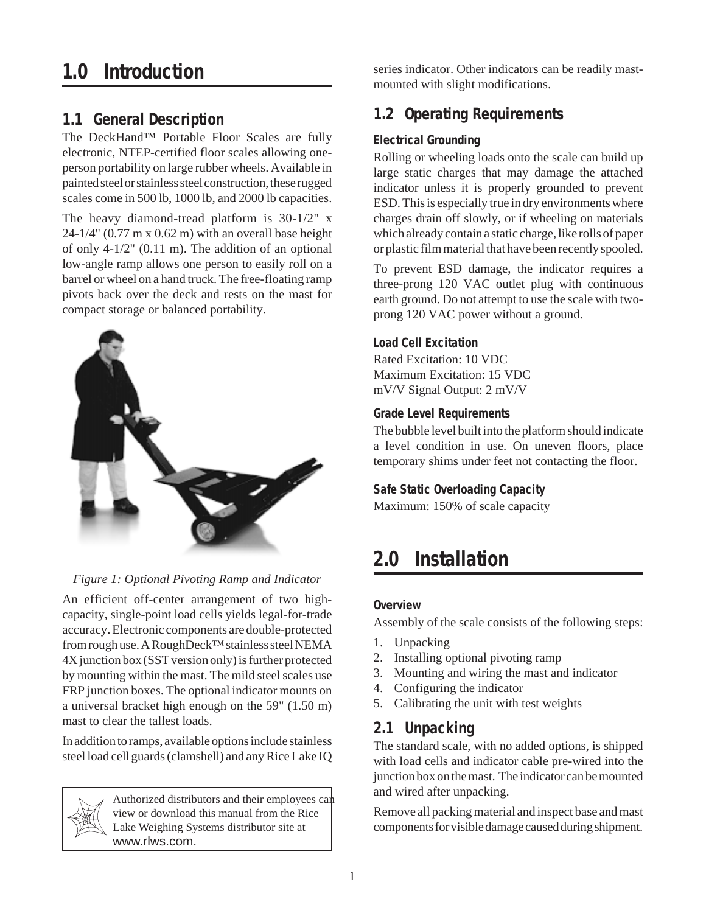# **1.0 Introduction**

# **1.1 General Description**

The DeckHand™ Portable Floor Scales are fully electronic, NTEP-certified floor scales allowing oneperson portability on large rubber wheels. Available in painted steel or stainless steel construction, these rugged scales come in 500 lb, 1000 lb, and 2000 lb capacities.

The heavy diamond-tread platform is 30-1/2" x  $24-1/4$ " (0.77 m x 0.62 m) with an overall base height of only 4-1/2" (0.11 m). The addition of an optional low-angle ramp allows one person to easily roll on a barrel or wheel on a hand truck. The free-floating ramp pivots back over the deck and rests on the mast for compact storage or balanced portability.



# *Figure 1: Optional Pivoting Ramp and Indicator*

An efficient off-center arrangement of two highcapacity, single-point load cells yields legal-for-trade accuracy. Electronic components are double-protected from rough use. A RoughDeck™ stainless steel NEMA 4X junction box (SST version only) is further protected by mounting within the mast. The mild steel scales use FRP junction boxes. The optional indicator mounts on a universal bracket high enough on the 59" (1.50 m) mast to clear the tallest loads.

In addition to ramps, available options include stainless steel load cell guards (clamshell) and any Rice Lake IQ

> Authorized distributors and their employees can view or download this manual from the Rice Lake Weighing Systems distributor site at www.rlws.com.

series indicator. Other indicators can be readily mastmounted with slight modifications.

# **1.2 Operating Requirements**

# **Electrical Grounding**

Rolling or wheeling loads onto the scale can build up large static charges that may damage the attached indicator unless it is properly grounded to prevent ESD. This is especially true in dry environments where charges drain off slowly, or if wheeling on materials which already contain a static charge, like rolls of paper or plastic film material that have been recently spooled.

To prevent ESD damage, the indicator requires a three-prong 120 VAC outlet plug with continuous earth ground. Do not attempt to use the scale with twoprong 120 VAC power without a ground.

# **Load Cell Excitation**

Rated Excitation: 10 VDC Maximum Excitation: 15 VDC mV/V Signal Output: 2 mV/V

#### **Grade Level Requirements**

The bubble level built into the platform should indicate a level condition in use. On uneven floors, place temporary shims under feet not contacting the floor.

# **Safe Static Overloading Capacity**

Maximum: 150% of scale capacity

# **2.0 Installation**

#### **Overview**

Assembly of the scale consists of the following steps:

- 1. Unpacking
- 2. Installing optional pivoting ramp
- 3. Mounting and wiring the mast and indicator
- 4. Configuring the indicator
- 5. Calibrating the unit with test weights

# **2.1 Unpacking**

The standard scale, with no added options, is shipped with load cells and indicator cable pre-wired into the junction box on the mast. The indicator can be mounted and wired after unpacking.

Remove all packing material and inspect base and mast components for visible damage caused during shipment.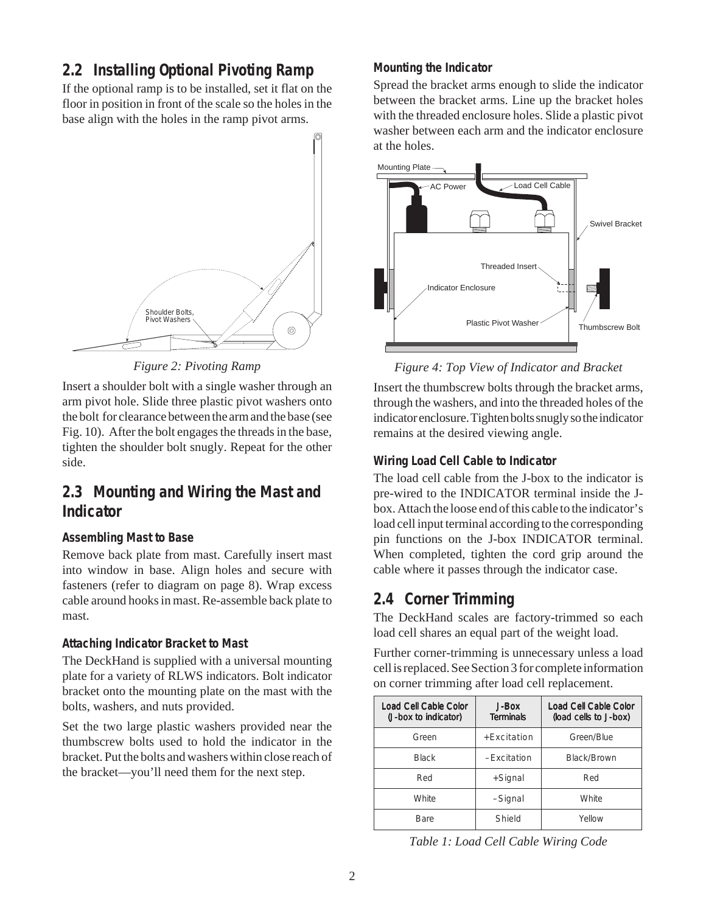# **2.2 Installing Optional Pivoting Ramp**

If the optional ramp is to be installed, set it flat on the floor in position in front of the scale so the holes in the base align with the holes in the ramp pivot arms.



*Figure 2: Pivoting Ramp*

Insert a shoulder bolt with a single washer through an arm pivot hole. Slide three plastic pivot washers onto the bolt for clearance between the arm and the base (see Fig. 10). After the bolt engages the threads in the base, tighten the shoulder bolt snugly. Repeat for the other side.

# **2.3 Mounting and Wiring the Mast and Indicator**

# **Assembling Mast to Base**

Remove back plate from mast. Carefully insert mast into window in base. Align holes and secure with fasteners (refer to diagram on page 8). Wrap excess cable around hooks in mast. Re-assemble back plate to mast.

# **Attaching Indicator Bracket to Mast**

The DeckHand is supplied with a universal mounting plate for a variety of RLWS indicators. Bolt indicator bracket onto the mounting plate on the mast with the bolts, washers, and nuts provided.

Set the two large plastic washers provided near the thumbscrew bolts used to hold the indicator in the bracket. Put the bolts and washers within close reach of the bracket—you'll need them for the next step.

### **Mounting the Indicator**

Spread the bracket arms enough to slide the indicator between the bracket arms. Line up the bracket holes with the threaded enclosure holes. Slide a plastic pivot washer between each arm and the indicator enclosure at the holes.



*Figure 4: Top View of Indicator and Bracket*

Insert the thumbscrew bolts through the bracket arms, through the washers, and into the threaded holes of the indicator enclosure. Tighten bolts snugly so the indicator remains at the desired viewing angle.

# **Wiring Load Cell Cable to Indicator**

The load cell cable from the J-box to the indicator is pre-wired to the INDICATOR terminal inside the Jbox. Attach the loose end of this cable to the indicator's load cell input terminal according to the corresponding pin functions on the J-box INDICATOR terminal. When completed, tighten the cord grip around the cable where it passes through the indicator case.

# **2.4 Corner Trimming**

The DeckHand scales are factory-trimmed so each load cell shares an equal part of the weight load.

Further corner-trimming is unnecessary unless a load cell is replaced. See Section 3 for complete information on corner trimming after load cell replacement.

| Load Cell Cable Color<br>(J-box to indicator) | J-Box<br><b>Terminals</b> | Load Cell Cable Color<br>(load cells to J-box) |
|-----------------------------------------------|---------------------------|------------------------------------------------|
| Green                                         | $+$ Fxcitation            | Green/Blue                                     |
| <b>Black</b>                                  | $-Fxcitation$             | Black/Brown                                    |
| Red                                           | +Signal                   | Red                                            |
| White                                         | -Signal                   | White                                          |
| Bare                                          | Shield                    | Yellow                                         |

*Table 1: Load Cell Cable Wiring Code*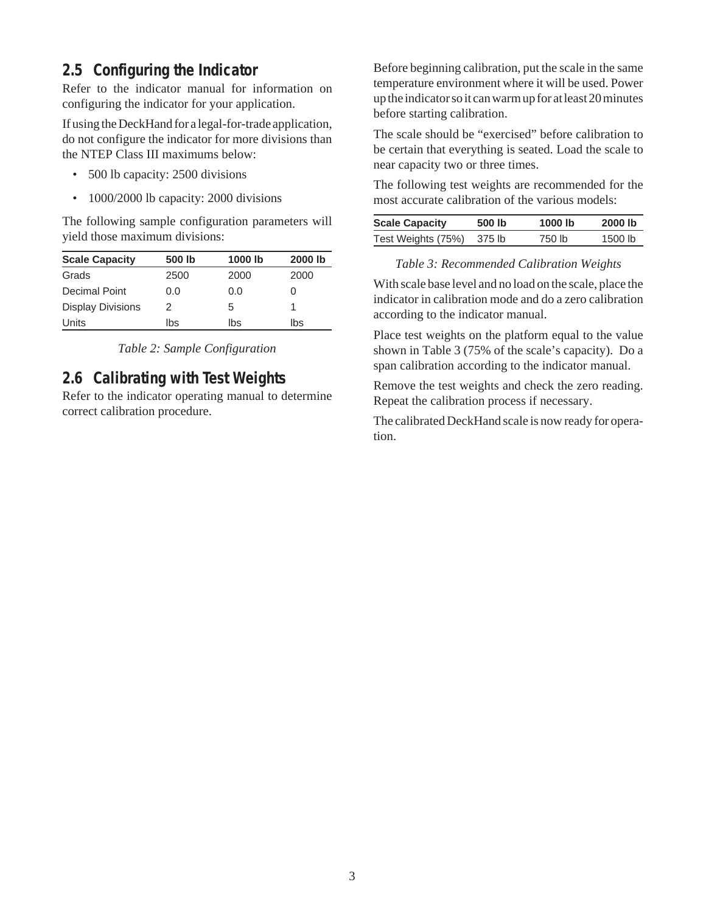# **2.5 Configuring the Indicator**

Refer to the indicator manual for information on configuring the indicator for your application.

If using the DeckHand for a legal-for-trade application, do not configure the indicator for more divisions than the NTEP Class III maximums below:

- 500 lb capacity: 2500 divisions
- 1000/2000 lb capacity: 2000 divisions

The following sample configuration parameters will yield those maximum divisions:

| <b>Scale Capacity</b>    | 500 lb | 1000 lb | 2000 lb |
|--------------------------|--------|---------|---------|
| Grads                    | 2500   | 2000    | 2000    |
| Decimal Point            | 0.0    | 0.0     |         |
| <b>Display Divisions</b> | 2      | 5       |         |
| Units                    | lbs    | lbs     | lbs     |

*Table 2: Sample Configuration*

# **2.6 Calibrating with Test Weights**

Refer to the indicator operating manual to determine correct calibration procedure.

Before beginning calibration, put the scale in the same temperature environment where it will be used. Power up the indicator so it can warm up for at least 20 minutes before starting calibration.

The scale should be "exercised" before calibration to be certain that everything is seated. Load the scale to near capacity two or three times.

The following test weights are recommended for the most accurate calibration of the various models:

| <b>Scale Capacity</b> | 500 lb | 1000 lb | 2000 lb   |
|-----------------------|--------|---------|-----------|
| Test Weights (75%)    | 375 lb | 750 lb  | $1500$ lb |

#### *Table 3: Recommended Calibration Weights*

With scale base level and no load on the scale, place the indicator in calibration mode and do a zero calibration according to the indicator manual.

Place test weights on the platform equal to the value shown in Table 3 (75% of the scale's capacity). Do a span calibration according to the indicator manual.

Remove the test weights and check the zero reading. Repeat the calibration process if necessary.

The calibrated DeckHand scale is now ready for operation.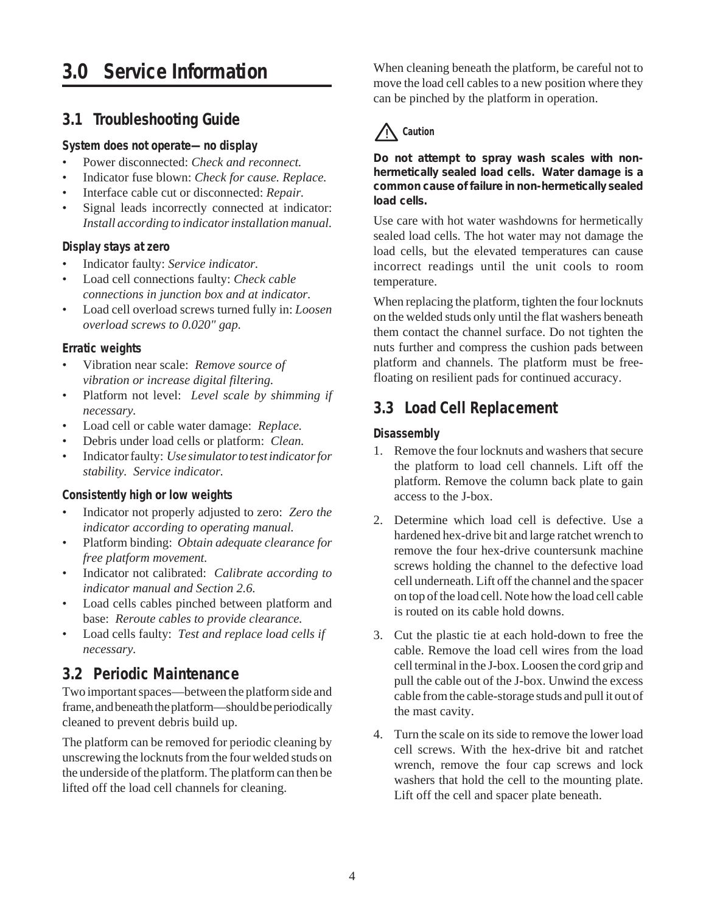# **3.0 Service Information**

# **3.1 Troubleshooting Guide**

# **System does not operate—no display**

- Power disconnected: *Check and reconnect.*
- Indicator fuse blown: *Check for cause. Replace.*
- Interface cable cut or disconnected: *Repair.*
- Signal leads incorrectly connected at indicator: *Install according to indicator installation manual.*

# **Display stays at zero**

- Indicator faulty: *Service indicator.*
- Load cell connections faulty: *Check cable connections in junction box and at indicator.*
- Load cell overload screws turned fully in: *Loosen overload screws to 0.020" gap.*

# **Erratic weights**

- Vibration near scale: *Remove source of vibration or increase digital filtering.*
- Platform not level: *Level scale by shimming if necessary.*
- Load cell or cable water damage: *Replace.*
- Debris under load cells or platform: *Clean.*
- Indicator faulty: *Use simulator to test indicator for stability. Service indicator.*

# **Consistently high or low weights**

- Indicator not properly adjusted to zero: *Zero the indicator according to operating manual.*
- Platform binding: *Obtain adequate clearance for free platform movement.*
- Indicator not calibrated: *Calibrate according to indicator manual and Section 2.6.*
- Load cells cables pinched between platform and base: *Reroute cables to provide clearance.*
- Load cells faulty: *Test and replace load cells if necessary.*

# **3.2 Periodic Maintenance**

Two important spaces—between the platform side and frame, and beneath the platform—should be periodically cleaned to prevent debris build up.

The platform can be removed for periodic cleaning by unscrewing the locknuts from the four welded studs on the underside of the platform. The platform can then be lifted off the load cell channels for cleaning.

When cleaning beneath the platform, be careful not to move the load cell cables to a new position where they can be pinched by the platform in operation.

# ! **Caution**

*Do not attempt to spray wash scales with nonhermetically sealed load cells. Water damage is a common cause of failure in non-hermetically sealed load cells.*

Use care with hot water washdowns for hermetically sealed load cells. The hot water may not damage the load cells, but the elevated temperatures can cause incorrect readings until the unit cools to room temperature.

When replacing the platform, tighten the four locknuts on the welded studs only until the flat washers beneath them contact the channel surface. Do not tighten the nuts further and compress the cushion pads between platform and channels. The platform must be freefloating on resilient pads for continued accuracy.

# **3.3 Load Cell Replacement**

# **Disassembly**

- 1. Remove the four locknuts and washers that secure the platform to load cell channels. Lift off the platform. Remove the column back plate to gain access to the J-box.
- 2. Determine which load cell is defective. Use a hardened hex-drive bit and large ratchet wrench to remove the four hex-drive countersunk machine screws holding the channel to the defective load cell underneath. Lift off the channel and the spacer on top of the load cell. Note how the load cell cable is routed on its cable hold downs.
- 3. Cut the plastic tie at each hold-down to free the cable. Remove the load cell wires from the load cell terminal in the J-box. Loosen the cord grip and pull the cable out of the J-box. Unwind the excess cable from the cable-storage studs and pull it out of the mast cavity.
- 4. Turn the scale on its side to remove the lower load cell screws. With the hex-drive bit and ratchet wrench, remove the four cap screws and lock washers that hold the cell to the mounting plate. Lift off the cell and spacer plate beneath.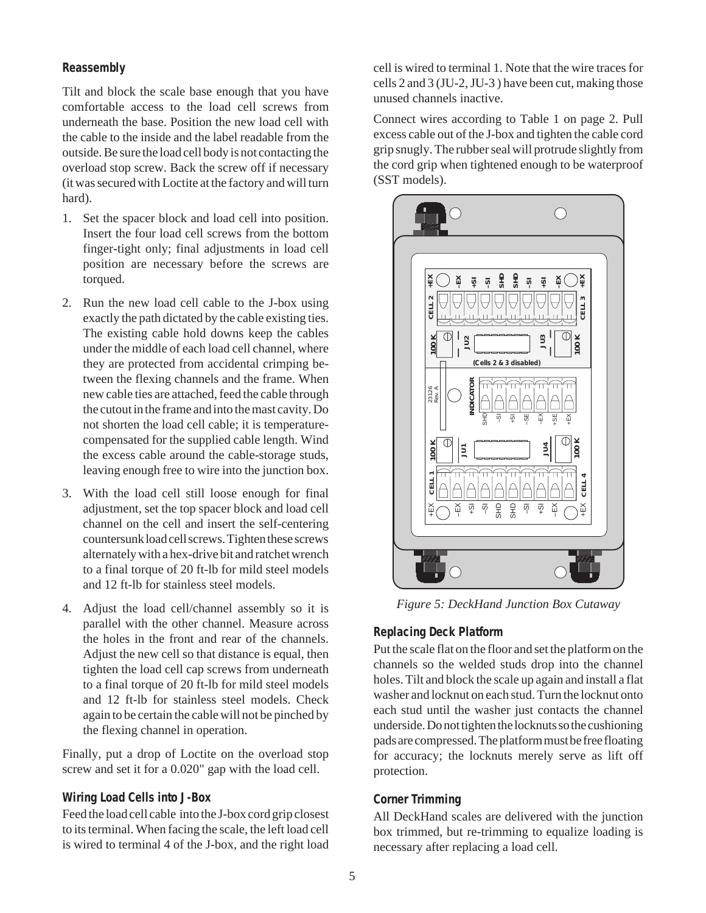#### **Reassembly**

Tilt and block the scale base enough that you have comfortable access to the load cell screws from underneath the base. Position the new load cell with the cable to the inside and the label readable from the outside. Be sure the load cell body is not contacting the overload stop screw. Back the screw off if necessary (it was secured with Loctite at the factory and will turn hard).

- 1. Set the spacer block and load cell into position. Insert the four load cell screws from the bottom finger-tight only; final adjustments in load cell position are necessary before the screws are torqued.
- 2. Run the new load cell cable to the J-box using exactly the path dictated by the cable existing ties. The existing cable hold downs keep the cables under the middle of each load cell channel, where they are protected from accidental crimping between the flexing channels and the frame. When new cable ties are attached, feed the cable through the cutout in the frame and into the mast cavity. Do not shorten the load cell cable; it is temperaturecompensated for the supplied cable length. Wind the excess cable around the cable-storage studs, leaving enough free to wire into the junction box.
- 3. With the load cell still loose enough for final adjustment, set the top spacer block and load cell channel on the cell and insert the self-centering countersunk load cell screws. Tighten these screws alternately with a hex-drive bit and ratchet wrench to a final torque of 20 ft-lb for mild steel models and 12 ft-lb for stainless steel models.
- 4. Adjust the load cell/channel assembly so it is parallel with the other channel. Measure across the holes in the front and rear of the channels. Adjust the new cell so that distance is equal, then tighten the load cell cap screws from underneath to a final torque of 20 ft-lb for mild steel models and 12 ft-lb for stainless steel models. Check again to be certain the cable will not be pinched by the flexing channel in operation.

Finally, put a drop of Loctite on the overload stop screw and set it for a 0.020" gap with the load cell.

#### **Wiring Load Cells into J-Box**

Feed the load cell cable into the J-box cord grip closest to its terminal. When facing the scale, the left load cell is wired to terminal 4 of the J-box, and the right load

cell is wired to terminal 1. Note that the wire traces for cells 2 and 3 (JU-2, JU-3 ) have been cut, making those unused channels inactive.

Connect wires according to Table 1 on page 2. Pull excess cable out of the J-box and tighten the cable cord grip snugly. The rubber seal will protrude slightly from the cord grip when tightened enough to be waterproof (SST models).



*Figure 5: DeckHand Junction Box Cutaway*

#### **Replacing Deck Platform**

Put the scale flat on the floor and set the platform on the channels so the welded studs drop into the channel holes. Tilt and block the scale up again and install a flat washer and locknut on each stud. Turn the locknut onto each stud until the washer just contacts the channel underside. Do not tighten the locknuts so the cushioning pads are compressed. The platform must be free floating for accuracy; the locknuts merely serve as lift off protection.

#### **Corner Trimming**

All DeckHand scales are delivered with the junction box trimmed, but re-trimming to equalize loading is necessary after replacing a load cell.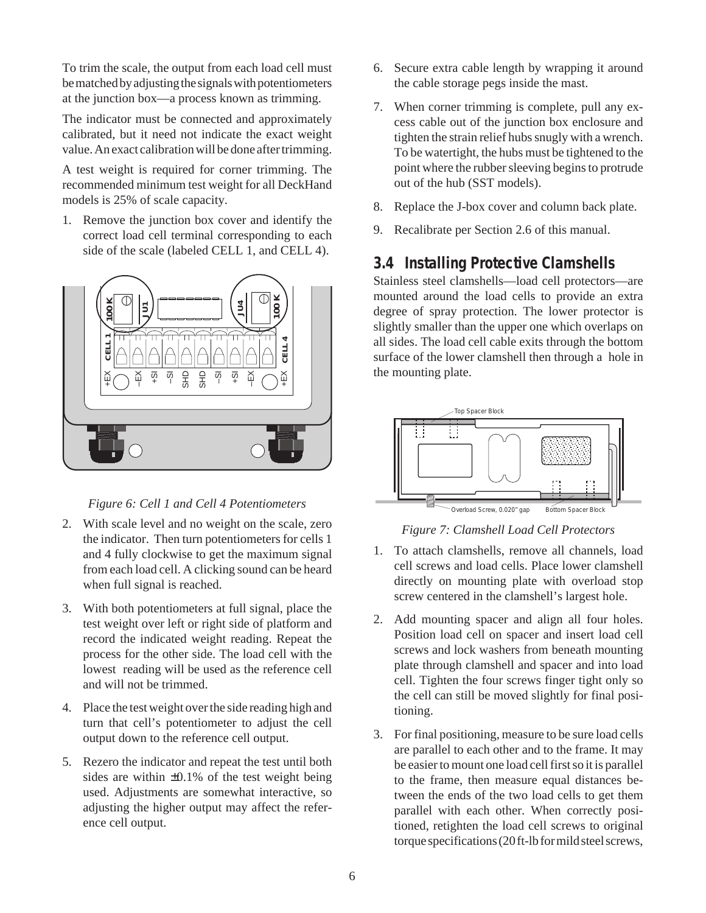To trim the scale, the output from each load cell must be matched by adjusting the signals with potentiometers at the junction box—a process known as trimming.

The indicator must be connected and approximately calibrated, but it need not indicate the exact weight value. An exact calibration will be done after trimming.

A test weight is required for corner trimming. The recommended minimum test weight for all DeckHand models is 25% of scale capacity.

1. Remove the junction box cover and identify the correct load cell terminal corresponding to each side of the scale (labeled CELL 1, and CELL 4).



*Figure 6: Cell 1 and Cell 4 Potentiometers*

- 2. With scale level and no weight on the scale, zero the indicator. Then turn potentiometers for cells 1 and 4 fully clockwise to get the maximum signal from each load cell. A clicking sound can be heard when full signal is reached.
- 3. With both potentiometers at full signal, place the test weight over left or right side of platform and record the indicated weight reading. Repeat the process for the other side. The load cell with the lowest reading will be used as the reference cell and will not be trimmed.
- 4. Place the test weight over the side reading high and turn that cell's potentiometer to adjust the cell output down to the reference cell output.
- 5. Rezero the indicator and repeat the test until both sides are within  $\pm 0.1\%$  of the test weight being used. Adjustments are somewhat interactive, so adjusting the higher output may affect the reference cell output.
- 6. Secure extra cable length by wrapping it around the cable storage pegs inside the mast.
- 7. When corner trimming is complete, pull any excess cable out of the junction box enclosure and tighten the strain relief hubs snugly with a wrench. To be watertight, the hubs must be tightened to the point where the rubber sleeving begins to protrude out of the hub (SST models).
- 8. Replace the J-box cover and column back plate.
- 9. Recalibrate per Section 2.6 of this manual.

# **3.4 Installing Protective Clamshells**

Stainless steel clamshells—load cell protectors—are mounted around the load cells to provide an extra degree of spray protection. The lower protector is slightly smaller than the upper one which overlaps on all sides. The load cell cable exits through the bottom surface of the lower clamshell then through a hole in the mounting plate.



*Figure 7: Clamshell Load Cell Protectors*

- 1. To attach clamshells, remove all channels, load cell screws and load cells. Place lower clamshell directly on mounting plate with overload stop screw centered in the clamshell's largest hole.
- 2. Add mounting spacer and align all four holes. Position load cell on spacer and insert load cell screws and lock washers from beneath mounting plate through clamshell and spacer and into load cell. Tighten the four screws finger tight only so the cell can still be moved slightly for final positioning.
- 3. For final positioning, measure to be sure load cells are parallel to each other and to the frame. It may be easier to mount one load cell first so it is parallel to the frame, then measure equal distances between the ends of the two load cells to get them parallel with each other. When correctly positioned, retighten the load cell screws to original torque specifications (20 ft-lb for mild steel screws,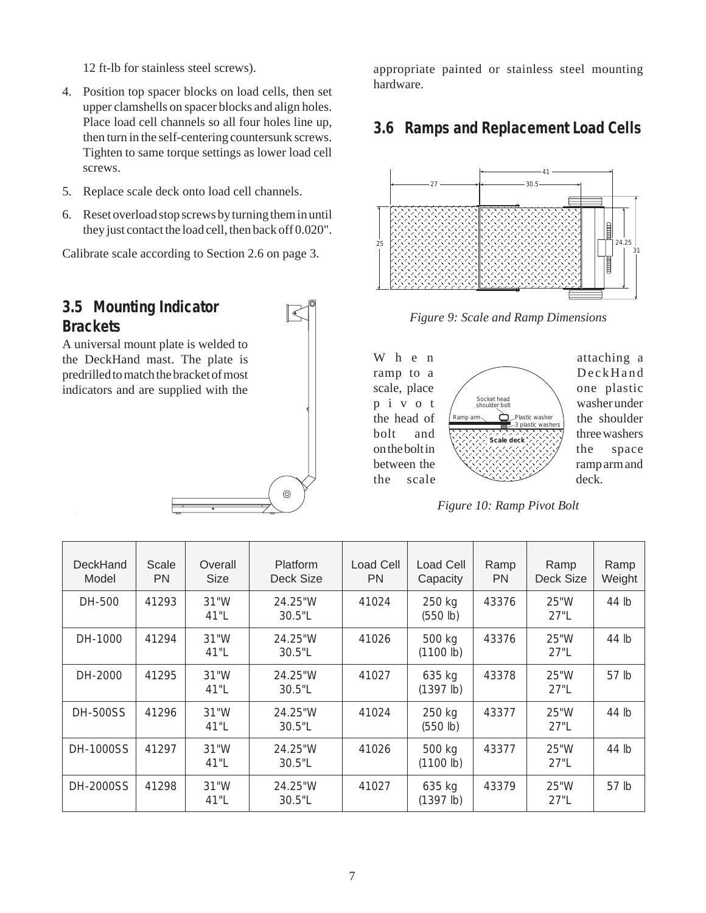12 ft-lb for stainless steel screws).

- 4. Position top spacer blocks on load cells, then set upper clamshells on spacer blocks and align holes. Place load cell channels so all four holes line up, then turn in the self-centering countersunk screws. Tighten to same torque settings as lower load cell screws.
- 5. Replace scale deck onto load cell channels.
- 6. Reset overload stop screws by turning them in until they just contact the load cell, then back off 0.020".

Calibrate scale according to Section 2.6 on page 3.

# **3.5 Mounting Indicator Brackets**

A universal mount plate is welded to the DeckHand mast. The plate is predrilled to match the bracket of most indicators and are supplied with the

# $\circledcirc$

appropriate painted or stainless steel mounting hardware.

# **3.6 Ramps and Replacement Load Cells**







*Figure 10: Ramp Pivot Bolt*

| DeckHand<br>Model | Scale<br><b>PN</b> | Overall<br><b>Size</b> | Platform<br>Deck Size | Load Cell<br><b>PN</b> | <b>Load Cell</b><br>Capacity | Ramp<br><b>PN</b> | Ramp<br>Deck Size | Ramp<br>Weight   |
|-------------------|--------------------|------------------------|-----------------------|------------------------|------------------------------|-------------------|-------------------|------------------|
| DH-500            | 41293              | 31"W<br>41"L           | 24.25"W<br>30.5"L     | 41024                  | 250 kg<br>(550 lb)           | 43376             | 25"W<br>27"L      | 44 lb            |
| DH-1000           | 41294              | 31"W<br>41"L           | 24.25"W<br>30.5"L     | 41026                  | 500 kg<br>(1100 lb)          | 43376             | 25"W<br>$27"$ L   | $44$ lb          |
| DH-2000           | 41295              | 31"W<br>41"L           | 24.25"W<br>30.5"L     | 41027                  | 635 kg<br>(1397 lb)          | 43378             | 25"W<br>27"L      | 57 <sub>1b</sub> |
| <b>DH-500SS</b>   | 41296              | 31"W<br>41"L           | 24.25"W<br>30.5"L     | 41024                  | 250 kg<br>(550 lb)           | 43377             | 25"W<br>27"L      | $44$ lb          |
| <b>DH-1000SS</b>  | 41297              | 31"W<br>41"L           | 24.25"W<br>30.5"L     | 41026                  | 500 kg<br>(1100 lb)          | 43377             | 25"W<br>27"L      | 44 lb            |
| DH-2000SS         | 41298              | 31"W<br>41"L           | 24.25"W<br>30.5"L     | 41027                  | 635 kg<br>(1397 lb)          | 43379             | 25"W<br>27"L      | 57 <sub>1b</sub> |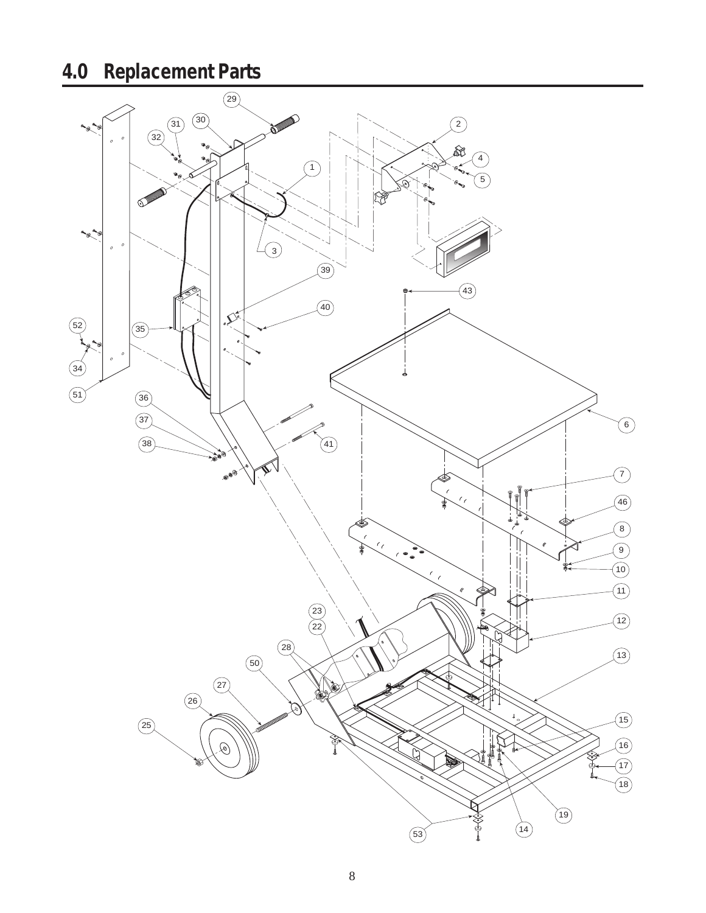# **4.0 Replacement Parts**

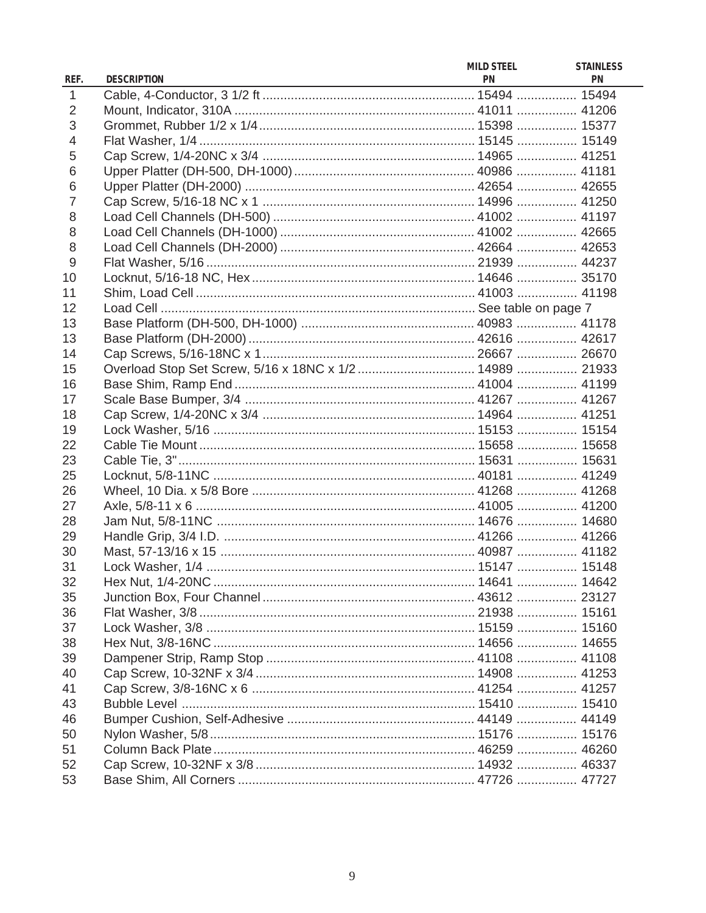| REF.           | <b>DESCRIPTION</b>                                       | <b>MILD STEEL</b><br><b>PN</b> | <b>STAINLESS</b><br><b>PN</b> |
|----------------|----------------------------------------------------------|--------------------------------|-------------------------------|
| $\mathbf{1}$   |                                                          |                                |                               |
| 2              |                                                          |                                |                               |
| 3              |                                                          |                                |                               |
| $\overline{4}$ |                                                          |                                |                               |
| 5              |                                                          |                                |                               |
| 6              |                                                          |                                |                               |
| 6              |                                                          |                                |                               |
| $\overline{7}$ |                                                          |                                |                               |
| 8              |                                                          |                                |                               |
| 8              |                                                          |                                |                               |
| 8              |                                                          |                                |                               |
| 9              |                                                          |                                |                               |
| 10             |                                                          |                                |                               |
| 11             |                                                          |                                |                               |
| 12             |                                                          |                                |                               |
| 13             |                                                          |                                |                               |
| 13             |                                                          |                                |                               |
| 14             |                                                          |                                |                               |
| 15             | Overload Stop Set Screw, 5/16 x 18NC x 1/2  14989  21933 |                                |                               |
| 16             |                                                          |                                |                               |
| 17             |                                                          |                                |                               |
| 18             |                                                          |                                |                               |
| 19             |                                                          |                                |                               |
| 22             |                                                          |                                |                               |
| 23             |                                                          |                                |                               |
| 25             |                                                          |                                |                               |
| 26             |                                                          |                                |                               |
| 27             |                                                          |                                |                               |
| 28             |                                                          |                                |                               |
| 29             |                                                          |                                |                               |
| 30             |                                                          |                                |                               |
| 31             |                                                          |                                |                               |
| 32             |                                                          |                                |                               |
| 35             |                                                          |                                |                               |
| 36             |                                                          |                                |                               |
| 37             |                                                          |                                |                               |
| 38             |                                                          |                                |                               |
| 39             |                                                          |                                |                               |
| 40             |                                                          |                                |                               |
| 41             |                                                          |                                |                               |
| 43             |                                                          |                                |                               |
| 46             |                                                          |                                |                               |
| 50             |                                                          |                                |                               |
| 51             |                                                          |                                |                               |
| 52             |                                                          |                                |                               |
| 53             |                                                          |                                |                               |